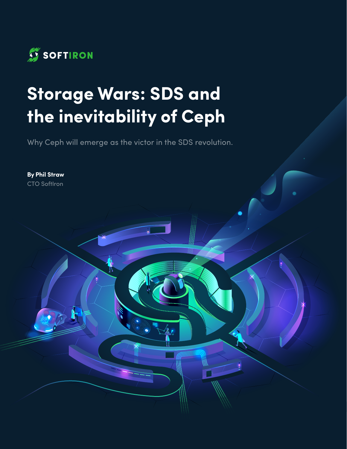

# **Storage Wars: SDS and the inevitability of Ceph**

Why Ceph will emerge as the victor in the SDS revolution.

**By Phil Straw**  CTO SoftIron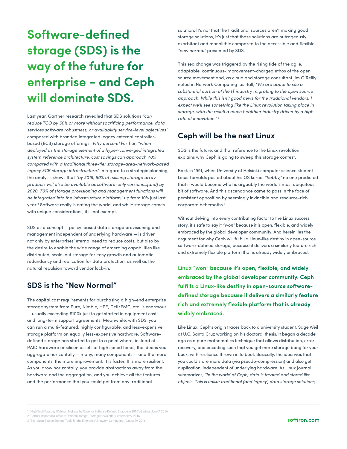## **Software-defined storage (SDS) is the way of the future for enterprise − and Ceph will dominate SDS.**

Last year, Gartner research revealed that SDS solutions *"can reduce TCO by 50% or more without sacrificing performance, data services software robustness, or availability service-level objectives"* compared with branded integrated legacy external controllerbased (ECB) storage offerings.1 *Fifty percent!* Further, *"when deployed as the storage element of a hyper-converged integrated system reference architecture, cost savings can approach 70% compared with a traditional three-tier storage-area-network-based legacy ECB storage infrastructure."* In regard to a strategic planning, the analysis shows that *"by 2019, 50% of existing storage array products will also be available as software-only versions…[and] by 2020, 70% of storage provisioning and management functions will be integrated into the infrastructure platform,"* up from 10% just last year.2 Software really is eating the world, and while storage comes with unique considerations, it is not exempt.

SDS as a concept — policy-based data storage provisioning and management independent of underlying hardware — is driven not only by enterprises' eternal need to reduce costs, but also by the desire to enable the wide range of emerging capabilities like distributed, scale-out storage for easy growth and automatic redundancy and replication for data protection, as well as the natural repulsion toward vendor lock-in.

#### **SDS is the "New Normal"**

The capital cost requirements for purchasing a high-end enterprise storage system from Pure, Nimble, HPE, Dell/EMC, etc. is enormous — usually exceeding \$100k just to get started in equipment costs and long-term support agreements. Meanwhile, with SDS, you can run a multi-featured, highly configurable, and less-expensive storage platform on equally less-expensive hardware. Softwaredefined storage has started to get to a point where, instead of RAID hardware or silicon assets or high speed feeds, the idea is you aggregate horizontally — many, many components — and the more components, the more improvement. It is faster. It is more resilient. As you grow horizontally, you provide abstractions away from the hardware and the aggregation, and you achieve all the features and the performance that you could get from any traditional

solution. It's not that the traditional sources aren't making good storage solutions, it's just that those solutions are outrageously exorbitant and monolithic compared to the accessible and flexible *"new normal"* presented by SDS.

This sea change was triggered by the rising tide of the agile, adaptable, continuous-improvement-charged ethos of the open source movement and, as cloud and storage consultant Jim O'Reilly noted in Network Computing last fall, *"We are about to see a substantial portion of the IT industry migrating to the open source approach. While this isn't good news for the traditional vendors, I expect we'll see something like the Linux revolution taking place in storage, with the result a much healthier industry driven by a high rate of innovation."* <sup>3</sup>

#### **Ceph will be the next Linux**

SDS is the future, and that reference to the Linux revolution explains why Ceph is going to sweep this storage contest.

Back in 1991, when University of Helsinki computer science student Linus Torvalds posted about his OS kernel *"hobby,"* no one predicted that it would become what is arguably the world's most ubiquitous bit of software. And this ascendance came to pass in the face of persistent opposition by seemingly invincible and resource-rich corporate behemoths.4

Without delving into every contributing factor to the Linux success story, it's safe to say it *"won"* because it is open, flexible, and widely embraced by the global developer community. And herein lies the argument for why Ceph will fulfill a Linux-like destiny in open-source software-defined storage, because it delivers a similarly feature rich and extremely flexible platform that is already widely embraced.

**Linux "won" because it's open, flexible, and widely embraced by the global developer community. Ceph fulfills a Linux-like destiny in open-source softwaredefined storage because it delivers a similarly feature rich and extremely flexible platform that is already widely embraced.**

Like Linux, Ceph's origin traces back to a university student, Sage Weil at U.C. Santa Cruz working on his doctoral thesis. It began a decade ago as a pure mathematics technique that allows distribution, error recovery, and encoding such that you get more storage bang for your buck, with resilience thrown in to boot. Basically, the idea was that you could store more data (via pseudo-compression) and also get duplication, independent of underlying hardware. As Linux Journal summarizes, *"In the world of Ceph, data is treated and stored like objects. This is unlike traditional (and legacy) data storage solutions,* 

<sup>1 &</sup>quot;High-Tech Tuesday Webinar: Making the Case for Software-Defined Storage in 2016", Gartner, June 7, 2016.

<sup>2 &</sup>quot;Gartner Report on Software-Defined Storage", Storage Newsletter, September 9, 2016.

<sup>3 &</sup>quot;Best Open Source Storage Tools for the Enterprise", Network Computing, August 29, 2016.